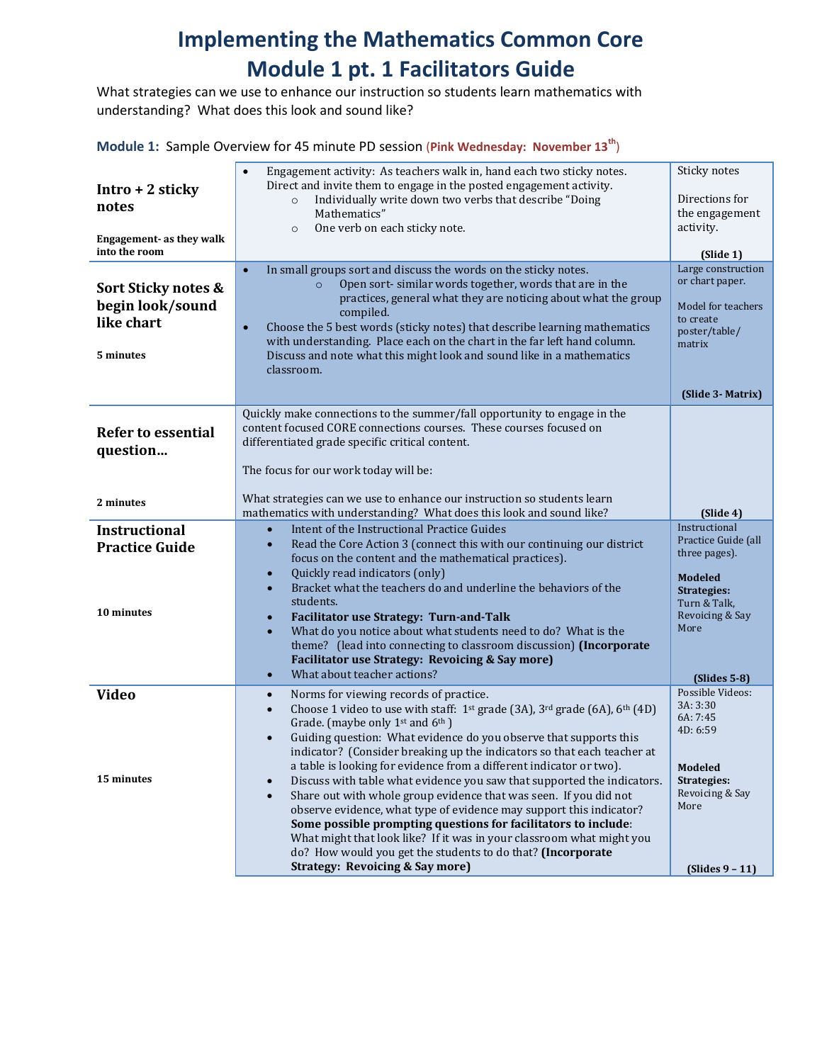# **Implementing the Mathematics Common Core Module 1 pt. 1 Facilitators Guide**

What strategies can we use to enhance our instruction so students learn mathematics with understanding? What does this look and sound like?

**Module 1:** Sample Overview for 45 minute PD session (**Pink Wednesday: November 13th**)

| $Intro + 2$ sticky<br>notes<br>Engagement- as they walk<br>into the room<br>Sort Sticky notes &<br>begin look/sound<br>like chart<br>5 minutes | Engagement activity: As teachers walk in, hand each two sticky notes.<br>$\bullet$<br>Direct and invite them to engage in the posted engagement activity.<br>Individually write down two verbs that describe "Doing<br>$\circ$<br>Mathematics"<br>One verb on each sticky note.<br>$\circ$<br>In small groups sort and discuss the words on the sticky notes.<br>$\bullet$<br>Open sort-similar words together, words that are in the<br>$\circ$<br>practices, general what they are noticing about what the group<br>compiled.<br>Choose the 5 best words (sticky notes) that describe learning mathematics<br>$\bullet$<br>with understanding. Place each on the chart in the far left hand column.<br>Discuss and note what this might look and sound like in a mathematics<br>classroom.                                                                                           | Sticky notes<br>Directions for<br>the engagement<br>activity.<br>(Slide 1)<br>Large construction<br>or chart paper.<br>Model for teachers<br>to create<br>poster/table/<br>matrix |
|------------------------------------------------------------------------------------------------------------------------------------------------|----------------------------------------------------------------------------------------------------------------------------------------------------------------------------------------------------------------------------------------------------------------------------------------------------------------------------------------------------------------------------------------------------------------------------------------------------------------------------------------------------------------------------------------------------------------------------------------------------------------------------------------------------------------------------------------------------------------------------------------------------------------------------------------------------------------------------------------------------------------------------------------|-----------------------------------------------------------------------------------------------------------------------------------------------------------------------------------|
|                                                                                                                                                |                                                                                                                                                                                                                                                                                                                                                                                                                                                                                                                                                                                                                                                                                                                                                                                                                                                                                        | (Slide 3- Matrix)                                                                                                                                                                 |
| <b>Refer to essential</b><br>question                                                                                                          | Quickly make connections to the summer/fall opportunity to engage in the<br>content focused CORE connections courses. These courses focused on<br>differentiated grade specific critical content.<br>The focus for our work today will be:                                                                                                                                                                                                                                                                                                                                                                                                                                                                                                                                                                                                                                             |                                                                                                                                                                                   |
| 2 minutes                                                                                                                                      | What strategies can we use to enhance our instruction so students learn<br>mathematics with understanding? What does this look and sound like?                                                                                                                                                                                                                                                                                                                                                                                                                                                                                                                                                                                                                                                                                                                                         | (Slide 4)                                                                                                                                                                         |
| <b>Instructional</b><br><b>Practice Guide</b><br>10 minutes                                                                                    | Intent of the Instructional Practice Guides<br>$\bullet$<br>Read the Core Action 3 (connect this with our continuing our district<br>$\bullet$<br>focus on the content and the mathematical practices).<br>Quickly read indicators (only)<br>$\bullet$<br>Bracket what the teachers do and underline the behaviors of the<br>$\bullet$<br>students.<br><b>Facilitator use Strategy: Turn-and-Talk</b><br>$\bullet$<br>What do you notice about what students need to do? What is the<br>$\bullet$<br>theme? (lead into connecting to classroom discussion) (Incorporate<br>Facilitator use Strategy: Revoicing & Say more)<br>What about teacher actions?<br>$\bullet$                                                                                                                                                                                                                 | Instructional<br>Practice Guide (all<br>three pages).<br><b>Modeled</b><br><b>Strategies:</b><br>Turn & Talk,<br>Revoicing & Say<br>More                                          |
| <b>Video</b>                                                                                                                                   | Norms for viewing records of practice.<br>$\bullet$                                                                                                                                                                                                                                                                                                                                                                                                                                                                                                                                                                                                                                                                                                                                                                                                                                    | $(Slides 5-8)$<br>Possible Videos:                                                                                                                                                |
| 15 minutes                                                                                                                                     | Choose 1 video to use with staff: 1 <sup>st</sup> grade (3A), 3 <sup>rd</sup> grade (6A), 6 <sup>th</sup> (4D)<br>$\bullet$<br>Grade. (maybe only 1 <sup>st</sup> and 6 <sup>th</sup> )<br>Guiding question: What evidence do you observe that supports this<br>$\bullet$<br>indicator? (Consider breaking up the indicators so that each teacher at<br>a table is looking for evidence from a different indicator or two).<br>Discuss with table what evidence you saw that supported the indicators.<br>$\bullet$<br>Share out with whole group evidence that was seen. If you did not<br>$\bullet$<br>observe evidence, what type of evidence may support this indicator?<br>Some possible prompting questions for facilitators to include:<br>What might that look like? If it was in your classroom what might you<br>do? How would you get the students to do that? (Incorporate | 3A: 3:30<br>6A: 7:45<br>4D: 6:59<br>Modeled<br><b>Strategies:</b><br>Revoicing & Say<br>More                                                                                      |
|                                                                                                                                                | <b>Strategy: Revoicing &amp; Say more)</b>                                                                                                                                                                                                                                                                                                                                                                                                                                                                                                                                                                                                                                                                                                                                                                                                                                             | $(Slides 9 - 11)$                                                                                                                                                                 |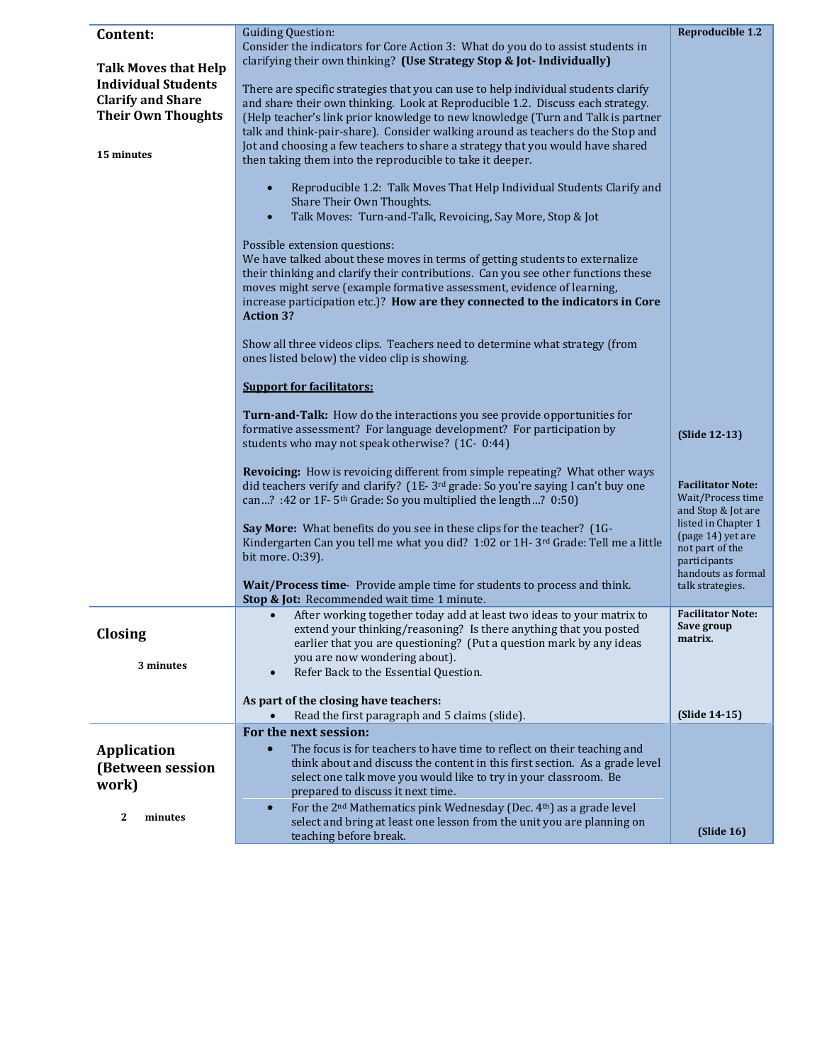| Content:                    | <b>Guiding Question:</b>                                                                                                                                                     | <b>Reproducible 1.2</b>                  |
|-----------------------------|------------------------------------------------------------------------------------------------------------------------------------------------------------------------------|------------------------------------------|
|                             | Consider the indicators for Core Action 3: What do you do to assist students in                                                                                              |                                          |
| <b>Talk Moves that Help</b> | clarifying their own thinking? (Use Strategy Stop & Jot- Individually)                                                                                                       |                                          |
| <b>Individual Students</b>  |                                                                                                                                                                              |                                          |
| <b>Clarify and Share</b>    | There are specific strategies that you can use to help individual students clarify                                                                                           |                                          |
| <b>Their Own Thoughts</b>   | and share their own thinking. Look at Reproducible 1.2. Discuss each strategy.<br>(Help teacher's link prior knowledge to new knowledge (Turn and Talk is partner            |                                          |
|                             | talk and think-pair-share). Consider walking around as teachers do the Stop and                                                                                              |                                          |
|                             | Jot and choosing a few teachers to share a strategy that you would have shared                                                                                               |                                          |
| 15 minutes                  | then taking them into the reproducible to take it deeper.                                                                                                                    |                                          |
|                             |                                                                                                                                                                              |                                          |
|                             | Reproducible 1.2: Talk Moves That Help Individual Students Clarify and<br>$\bullet$                                                                                          |                                          |
|                             | Share Their Own Thoughts.<br>Talk Moves: Turn-and-Talk, Revoicing, Say More, Stop & Jot<br>$\bullet$                                                                         |                                          |
|                             |                                                                                                                                                                              |                                          |
|                             | Possible extension questions:                                                                                                                                                |                                          |
|                             | We have talked about these moves in terms of getting students to externalize                                                                                                 |                                          |
|                             | their thinking and clarify their contributions. Can you see other functions these                                                                                            |                                          |
|                             | moves might serve (example formative assessment, evidence of learning,                                                                                                       |                                          |
|                             | increase participation etc.)? How are they connected to the indicators in Core<br><b>Action 3?</b>                                                                           |                                          |
|                             |                                                                                                                                                                              |                                          |
|                             | Show all three videos clips. Teachers need to determine what strategy (from                                                                                                  |                                          |
|                             | ones listed below) the video clip is showing.                                                                                                                                |                                          |
|                             |                                                                                                                                                                              |                                          |
|                             | <b>Support for facilitators:</b>                                                                                                                                             |                                          |
|                             | <b>Turn-and-Talk:</b> How do the interactions you see provide opportunities for                                                                                              |                                          |
|                             | formative assessment? For language development? For participation by                                                                                                         | (Slide 12-13)                            |
|                             | students who may not speak otherwise? (1C- 0:44)                                                                                                                             |                                          |
|                             |                                                                                                                                                                              |                                          |
|                             | Revoicing: How is revoicing different from simple repeating? What other ways<br>did teachers verify and clarify? (1E-3 <sup>rd</sup> grade: So you're saying I can't buy one | <b>Facilitator Note:</b>                 |
|                             | can? :42 or 1F-5 <sup>th</sup> Grade: So you multiplied the length? 0:50)                                                                                                    | Wait/Process time                        |
|                             |                                                                                                                                                                              | and Stop & Jot are                       |
|                             | Say More: What benefits do you see in these clips for the teacher? (1G-                                                                                                      | listed in Chapter 1<br>(page 14) yet are |
|                             | Kindergarten Can you tell me what you did? 1:02 or 1H-3rd Grade: Tell me a little                                                                                            | not part of the                          |
|                             | bit more. 0:39).                                                                                                                                                             | participants                             |
|                             | Wait/Process time-Provide ample time for students to process and think.                                                                                                      | handouts as formal<br>talk strategies.   |
|                             | Stop & Jot: Recommended wait time 1 minute.                                                                                                                                  |                                          |
|                             | After working together today add at least two ideas to your matrix to<br>$\bullet$                                                                                           | <b>Facilitator Note:</b>                 |
| Closing                     | extend your thinking/reasoning? Is there anything that you posted                                                                                                            | Save group<br>matrix.                    |
|                             | earlier that you are questioning? (Put a question mark by any ideas                                                                                                          |                                          |
| 3 minutes                   | you are now wondering about).<br>Refer Back to the Essential Question.                                                                                                       |                                          |
|                             |                                                                                                                                                                              |                                          |
|                             | As part of the closing have teachers:                                                                                                                                        |                                          |
|                             | Read the first paragraph and 5 claims (slide).                                                                                                                               | (Slide 14-15)                            |
|                             | For the next session:                                                                                                                                                        |                                          |
| <b>Application</b>          | The focus is for teachers to have time to reflect on their teaching and<br>$\bullet$                                                                                         |                                          |
| (Between session            | think about and discuss the content in this first section. As a grade level                                                                                                  |                                          |
| work)                       | select one talk move you would like to try in your classroom. Be<br>prepared to discuss it next time.                                                                        |                                          |
|                             | For the 2 <sup>nd</sup> Mathematics pink Wednesday (Dec. 4 <sup>th</sup> ) as a grade level<br>$\bullet$                                                                     |                                          |
| 2<br>minutes                | select and bring at least one lesson from the unit you are planning on                                                                                                       |                                          |
|                             | teaching before break.                                                                                                                                                       | (Slide 16)                               |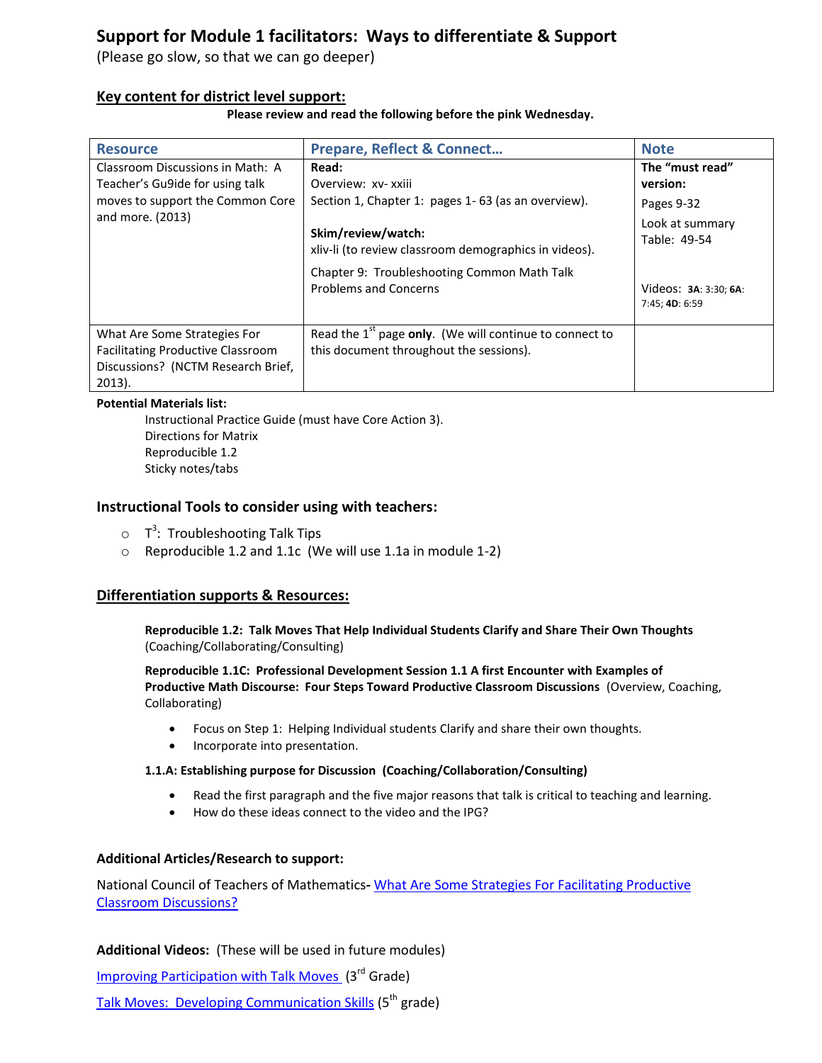## **Support for Module 1 facilitators: Ways to differentiate & Support**

(Please go slow, so that we can go deeper)

#### **Key content for district level support:**

**Please review and read the following before the pink Wednesday.**

| <b>Resource</b>                                                                                                             | <b>Prepare, Reflect &amp; Connect</b>                                                                                                                      | <b>Note</b>                                                                |
|-----------------------------------------------------------------------------------------------------------------------------|------------------------------------------------------------------------------------------------------------------------------------------------------------|----------------------------------------------------------------------------|
| Classroom Discussions in Math: A                                                                                            | Read:                                                                                                                                                      | The "must read"                                                            |
| Teacher's Gu9ide for using talk                                                                                             | Overview: xv- xxiii                                                                                                                                        | version:                                                                   |
| moves to support the Common Core                                                                                            | Section 1, Chapter 1: pages 1-63 (as an overview).                                                                                                         | Pages 9-32                                                                 |
| and more. (2013)                                                                                                            | Skim/review/watch:<br>xliv-li (to review classroom demographics in videos).<br>Chapter 9: Troubleshooting Common Math Talk<br><b>Problems and Concerns</b> | Look at summary<br>Table: 49-54<br>Videos: 3A: 3:30; 6A:<br>7:45; 4D: 6:59 |
| What Are Some Strategies For<br><b>Facilitating Productive Classroom</b><br>Discussions? (NCTM Research Brief,<br>$2013$ ). | Read the $1st$ page only. (We will continue to connect to<br>this document throughout the sessions).                                                       |                                                                            |

#### **Potential Materials list:**

Instructional Practice Guide (must have Core Action 3). Directions for Matrix Reproducible 1.2 Sticky notes/tabs

#### **Instructional Tools to consider using with teachers:**

- $\circ$  T<sup>3</sup>: Troubleshooting Talk Tips
- o Reproducible 1.2 and 1.1c (We will use 1.1a in module 1-2)

#### **Differentiation supports & Resources:**

**Reproducible 1.2: Talk Moves That Help Individual Students Clarify and Share Their Own Thoughts** (Coaching/Collaborating/Consulting)

**Reproducible 1.1C: Professional Development Session 1.1 A first Encounter with Examples of Productive Math Discourse: Four Steps Toward Productive Classroom Discussions** (Overview, Coaching, Collaborating)

- Focus on Step 1: Helping Individual students Clarify and share their own thoughts.
- Incorporate into presentation.

#### **1.1.A: Establishing purpose for Discussion (Coaching/Collaboration/Consulting)**

- Read the first paragraph and the five major reasons that talk is critical to teaching and learning.
- How do these ideas connect to the video and the IPG?

#### **Additional Articles/Research to support:**

National Council of Teachers of Mathematics**-** [What Are Some Strategies For Facilitating Productive](http://www.nctm.org/uploadedFiles/Research_News_and_Advocacy/Research/Clips_and_Briefs/research%20brief%2020%20-%20strategies%20of%20discussion.pdf)  [Classroom Discussions?](http://www.nctm.org/uploadedFiles/Research_News_and_Advocacy/Research/Clips_and_Briefs/research%20brief%2020%20-%20strategies%20of%20discussion.pdf)

**Additional Videos:** (These will be used in future modules)

[Improving Participation with Talk Moves](https://www.teachingchannel.org/videos/student-participation-strategy) (3rd Grade)

[Talk Moves: Developing Communication Skills](https://www.teachingchannel.org/videos/developing-communication-skills) (5<sup>th</sup> grade)